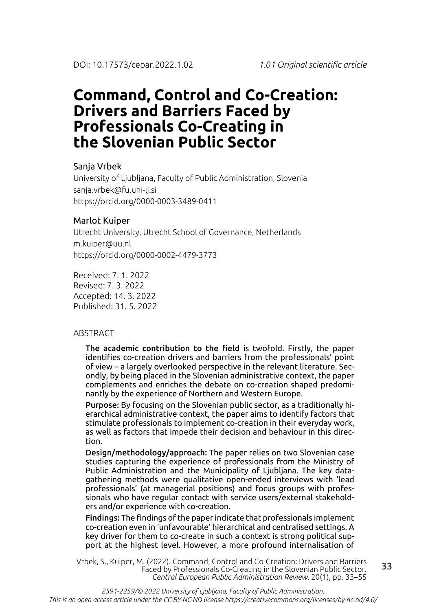# **Command, Control and Co-Creation: Drivers and Barriers Faced by Professionals Co-Creating in the Slovenian Public Sector**

### Sanja Vrbek

University of Ljubljana, Faculty of Public Administration, Slovenia sanja.vrbek@fu.uni-lj.si https://orcid.org/0000-0003-3489-0411

### Marlot Kuiper

Utrecht University, Utrecht School of Governance, Netherlands m.kuiper@uu.nl https://orcid.org/0000-0002-4479-3773

Received: 7. 1. 2022 Revised: 7. 3. 2022 Accepted: 14. 3. 2022 Published: 31. 5. 2022

### ABSTRACT

The academic contribution to the field is twofold. Firstly, the paper identifies co-creation drivers and barriers from the professionals' point of view – a largely overlooked perspective in the relevant literature. Secondly, by being placed in the Slovenian administrative context, the paper complements and enriches the debate on co-creation shaped predominantly by the experience of Northern and Western Europe.

Purpose: By focusing on the Slovenian public sector, as a traditionally hierarchical administrative context, the paper aims to identify factors that stimulate professionals to implement co-creation in their everyday work, as well as factors that impede their decision and behaviour in this direction.

Design/methodology/approach: The paper relies on two Slovenian case studies capturing the experience of professionals from the Ministry of Public Administration and the Municipality of Ljubljana. The key datagathering methods were qualitative open-ended interviews with 'lead professionals' (at managerial positions) and focus groups with professionals who have regular contact with service users/external stakeholders and/or experience with co-creation.

Findings: The findings of the paper indicate that professionals implement co-creation even in 'unfavourable' hierarchical and centralised settings. A key driver for them to co-create in such a context is strong political support at the highest level. However, a more profound internalisation of

33 Vrbek, S., Kuiper, M. (2022). Command, Control and Co-Creation: Drivers and Barriers Faced by Professionals Co-Creating in the Slovenian Public Sector. *Central European Public Administration Review*, 20(1), pp. 33–55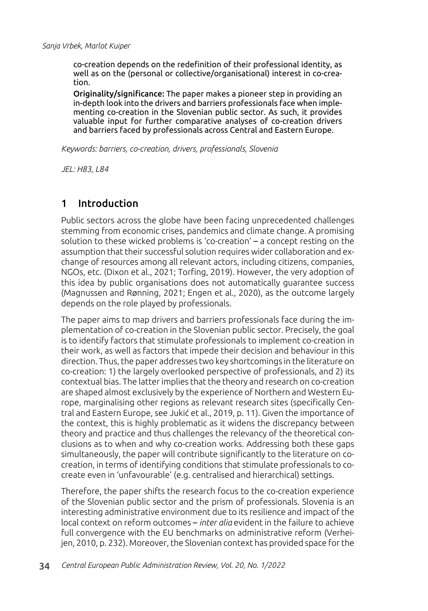co-creation depends on the redefinition of their professional identity, as well as on the (personal or collective/organisational) interest in co-creation.

Originality/significance: The paper makes a pioneer step in providing an in-depth look into the drivers and barriers professionals face when implementing co-creation in the Slovenian public sector. As such, it provides valuable input for further comparative analyses of co-creation drivers and barriers faced by professionals across Central and Eastern Europe.

*Keywords: barriers, co-creation, drivers, professionals, Slovenia*

*JEL: H83, L84*

# 1 Introduction

Public sectors across the globe have been facing unprecedented challenges stemming from economic crises, pandemics and climate change. A promising solution to these wicked problems is 'co-creation' – a concept resting on the assumption that their successful solution requires wider collaboration and exchange of resources among all relevant actors, including citizens, companies, NGOs, etc. (Dixon et al., 2021; Torfing, 2019). However, the very adoption of this idea by public organisations does not automatically guarantee success (Magnussen and Rønning, 2021; Engen et al., 2020), as the outcome largely depends on the role played by professionals.

The paper aims to map drivers and barriers professionals face during the implementation of co-creation in the Slovenian public sector. Precisely, the goal is to identify factors that stimulate professionals to implement co-creation in their work, as well as factors that impede their decision and behaviour in this direction. Thus, the paper addresses two key shortcomings in the literature on co-creation: 1) the largely overlooked perspective of professionals, and 2) its contextual bias. The latter implies that the theory and research on co-creation are shaped almost exclusively by the experience of Northern and Western Europe, marginalising other regions as relevant research sites (specifically Central and Eastern Europe, see Jukić et al., 2019, p. 11). Given the importance of the context, this is highly problematic as it widens the discrepancy between theory and practice and thus challenges the relevancy of the theoretical conclusions as to when and why co-creation works. Addressing both these gaps simultaneously, the paper will contribute significantly to the literature on cocreation, in terms of identifying conditions that stimulate professionals to cocreate even in 'unfavourable' (e.g. centralised and hierarchical) settings.

Therefore, the paper shifts the research focus to the co-creation experience of the Slovenian public sector and the prism of professionals. Slovenia is an interesting administrative environment due to its resilience and impact of the local context on reform outcomes – *inter alia* evident in the failure to achieve full convergence with the EU benchmarks on administrative reform (Verheijen, 2010, p. 232). Moreover, the Slovenian context has provided space for the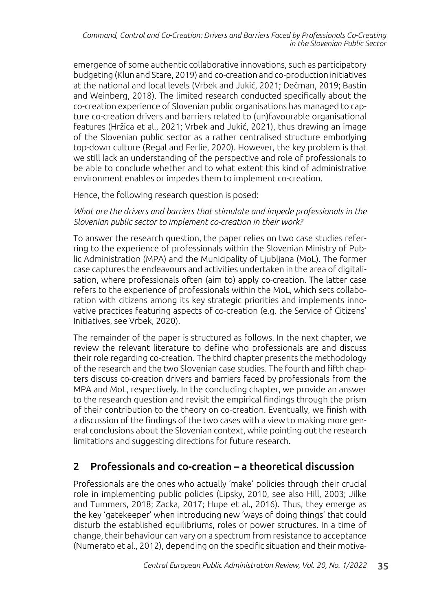emergence of some authentic collaborative innovations, such as participatory budgeting (Klun and Stare, 2019) and co-creation and co-production initiatives at the national and local levels (Vrbek and Jukić, 2021; Dečman, 2019; Bastin and Weinberg, 2018). The limited research conducted specifically about the co-creation experience of Slovenian public organisations has managed to capture co-creation drivers and barriers related to (un)favourable organisational features (Hržica et al., 2021; Vrbek and Jukić, 2021), thus drawing an image of the Slovenian public sector as a rather centralised structure embodying top-down culture (Regal and Ferlie, 2020). However, the key problem is that we still lack an understanding of the perspective and role of professionals to be able to conclude whether and to what extent this kind of administrative environment enables or impedes them to implement co-creation.

Hence, the following research question is posed:

*What are the drivers and barriers that stimulate and impede professionals in the Slovenian public sector to implement co-creation in their work?*

To answer the research question, the paper relies on two case studies referring to the experience of professionals within the Slovenian Ministry of Public Administration (MPA) and the Municipality of Ljubljana (MoL). The former case captures the endeavours and activities undertaken in the area of digitalisation, where professionals often (aim to) apply co-creation. The latter case refers to the experience of professionals within the MoL, which sets collaboration with citizens among its key strategic priorities and implements innovative practices featuring aspects of co-creation (e.g. the Service of Citizens' Initiatives, see Vrbek, 2020).

The remainder of the paper is structured as follows. In the next chapter, we review the relevant literature to define who professionals are and discuss their role regarding co-creation. The third chapter presents the methodology of the research and the two Slovenian case studies. The fourth and fifth chapters discuss co-creation drivers and barriers faced by professionals from the MPA and MoL, respectively. In the concluding chapter, we provide an answer to the research question and revisit the empirical findings through the prism of their contribution to the theory on co-creation. Eventually, we finish with a discussion of the findings of the two cases with a view to making more general conclusions about the Slovenian context, while pointing out the research limitations and suggesting directions for future research.

# 2 Professionals and co-creation – a theoretical discussion

Professionals are the ones who actually 'make' policies through their crucial role in implementing public policies (Lipsky, 2010, see also Hill, 2003; Jilke and Tummers, 2018; Zacka, 2017; Hupe et al., 2016). Thus, they emerge as the key 'gatekeeper' when introducing new 'ways of doing things' that could disturb the established equilibriums, roles or power structures. In a time of change, their behaviour can vary on a spectrum from resistance to acceptance (Numerato et al., 2012), depending on the specific situation and their motiva-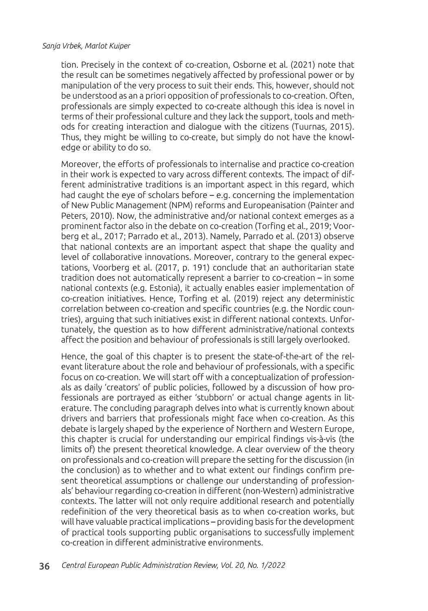tion. Precisely in the context of co-creation, Osborne et al. (2021) note that the result can be sometimes negatively affected by professional power or by manipulation of the very process to suit their ends. This, however, should not be understood as an a priori opposition of professionals to co-creation. Often, professionals are simply expected to co-create although this idea is novel in terms of their professional culture and they lack the support, tools and methods for creating interaction and dialogue with the citizens (Tuurnas, 2015). Thus, they might be willing to co-create, but simply do not have the knowledge or ability to do so.

Moreover, the efforts of professionals to internalise and practice co-creation in their work is expected to vary across different contexts. The impact of different administrative traditions is an important aspect in this regard, which had caught the eye of scholars before – e.g. concerning the implementation of New Public Management (NPM) reforms and Europeanisation (Painter and Peters, 2010). Now, the administrative and/or national context emerges as a prominent factor also in the debate on co-creation (Torfing et al., 2019; Voorberg et al., 2017; Parrado et al., 2013). Namely, Parrado et al. (2013) observe that national contexts are an important aspect that shape the quality and level of collaborative innovations. Moreover, contrary to the general expectations, Voorberg et al. (2017, p. 191) conclude that an authoritarian state tradition does not automatically represent a barrier to co-creation – in some national contexts (e.g. Estonia), it actually enables easier implementation of co-creation initiatives. Hence, Torfing et al. (2019) reject any deterministic correlation between co-creation and specific countries (e.g. the Nordic countries), arguing that such initiatives exist in different national contexts. Unfortunately, the question as to how different administrative/national contexts affect the position and behaviour of professionals is still largely overlooked.

Hence, the goal of this chapter is to present the state-of-the-art of the relevant literature about the role and behaviour of professionals, with a specific focus on co-creation. We will start off with a conceptualization of professionals as daily 'creators' of public policies, followed by a discussion of how professionals are portrayed as either 'stubborn' or actual change agents in literature. The concluding paragraph delves into what is currently known about drivers and barriers that professionals might face when co-creation. As this debate is largely shaped by the experience of Northern and Western Europe, this chapter is crucial for understanding our empirical findings vis-à-vis (the limits of) the present theoretical knowledge. A clear overview of the theory on professionals and co-creation will prepare the setting for the discussion (in the conclusion) as to whether and to what extent our findings confirm present theoretical assumptions or challenge our understanding of professionals' behaviour regarding co-creation in different (non-Western) administrative contexts. The latter will not only require additional research and potentially redefinition of the very theoretical basis as to when co-creation works, but will have valuable practical implications – providing basis for the development of practical tools supporting public organisations to successfully implement co-creation in different administrative environments.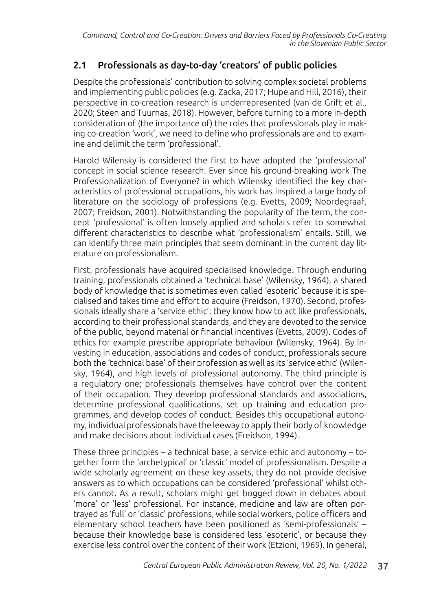## 2.1 Professionals as day-to-day 'creators' of public policies

Despite the professionals' contribution to solving complex societal problems and implementing public policies (e.g. Zacka, 2017; Hupe and Hill, 2016), their perspective in co-creation research is underrepresented (van de Grift et al., 2020; Steen and Tuurnas, 2018). However, before turning to a more in-depth consideration of (the importance of) the roles that professionals play in making co-creation 'work', we need to define who professionals are and to examine and delimit the term 'professional'.

Harold Wilensky is considered the first to have adopted the 'professional' concept in social science research. Ever since his ground-breaking work The Professionalization of Everyone? in which Wilensky identified the key characteristics of professional occupations, his work has inspired a large body of literature on the sociology of professions (e.g. Evetts, 2009; Noordegraaf, 2007; Freidson, 2001). Notwithstanding the popularity of the term, the concept 'professional' is often loosely applied and scholars refer to somewhat different characteristics to describe what 'professionalism' entails. Still, we can identify three main principles that seem dominant in the current day literature on professionalism.

First, professionals have acquired specialised knowledge. Through enduring training, professionals obtained a 'technical base' (Wilensky, 1964), a shared body of knowledge that is sometimes even called 'esoteric' because it is specialised and takes time and effort to acquire (Freidson, 1970). Second, professionals ideally share a 'service ethic'; they know how to act like professionals, according to their professional standards, and they are devoted to the service of the public, beyond material or financial incentives (Evetts, 2009). Codes of ethics for example prescribe appropriate behaviour (Wilensky, 1964). By investing in education, associations and codes of conduct, professionals secure both the 'technical base' of their profession as well as its 'service ethic' (Wilensky, 1964), and high levels of professional autonomy. The third principle is a regulatory one; professionals themselves have control over the content of their occupation. They develop professional standards and associations, determine professional qualifications, set up training and education programmes, and develop codes of conduct. Besides this occupational autonomy, individual professionals have the leeway to apply their body of knowledge and make decisions about individual cases (Freidson, 1994).

These three principles – a technical base, a service ethic and autonomy – together form the 'archetypical' or 'classic' model of professionalism. Despite a wide scholarly agreement on these key assets, they do not provide decisive answers as to which occupations can be considered 'professional' whilst others cannot. As a result, scholars might get bogged down in debates about 'more' or 'less' professional. For instance, medicine and law are often portrayed as 'full' or 'classic' professions, while social workers, police officers and elementary school teachers have been positioned as 'semi-professionals' – because their knowledge base is considered less 'esoteric', or because they exercise less control over the content of their work (Etzioni, 1969). In general,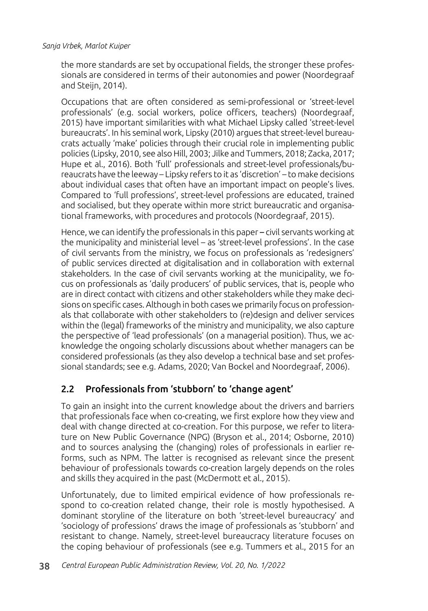the more standards are set by occupational fields, the stronger these professionals are considered in terms of their autonomies and power (Noordegraaf and Steijn, 2014).

Occupations that are often considered as semi-professional or 'street-level professionals' (e.g. social workers, police officers, teachers) (Noordegraaf, 2015) have important similarities with what Michael Lipsky called 'street-level bureaucrats'. In his seminal work, Lipsky (2010) argues that street-level bureaucrats actually 'make' policies through their crucial role in implementing public policies (Lipsky, 2010, see also Hill, 2003; Jilke and Tummers, 2018; Zacka, 2017; Hupe et al., 2016). Both 'full' professionals and street-level professionals/bureaucrats have the leeway – Lipsky refers to it as 'discretion' – to make decisions about individual cases that often have an important impact on people's lives. Compared to 'full professions', street-level professions are educated, trained and socialised, but they operate within more strict bureaucratic and organisational frameworks, with procedures and protocols (Noordegraaf, 2015).

Hence, we can identify the professionals in this paper – civil servants working at the municipality and ministerial level – as 'street-level professions'. In the case of civil servants from the ministry, we focus on professionals as 'redesigners' of public services directed at digitalisation and in collaboration with external stakeholders. In the case of civil servants working at the municipality, we focus on professionals as 'daily producers' of public services, that is, people who are in direct contact with citizens and other stakeholders while they make decisions on specific cases. Although in both cases we primarily focus on professionals that collaborate with other stakeholders to (re)design and deliver services within the (legal) frameworks of the ministry and municipality, we also capture the perspective of 'lead professionals' (on a managerial position). Thus, we acknowledge the ongoing scholarly discussions about whether managers can be considered professionals (as they also develop a technical base and set professional standards; see e.g. Adams, 2020; Van Bockel and Noordegraaf, 2006).

### 2.2 Professionals from 'stubborn' to 'change agent'

To gain an insight into the current knowledge about the drivers and barriers that professionals face when co-creating, we first explore how they view and deal with change directed at co-creation. For this purpose, we refer to literature on New Public Governance (NPG) (Bryson et al., 2014; Osborne, 2010) and to sources analysing the (changing) roles of professionals in earlier reforms, such as NPM. The latter is recognised as relevant since the present behaviour of professionals towards co-creation largely depends on the roles and skills they acquired in the past (McDermott et al., 2015).

Unfortunately, due to limited empirical evidence of how professionals respond to co-creation related change, their role is mostly hypothesised. A dominant storyline of the literature on both 'street-level bureaucracy' and 'sociology of professions' draws the image of professionals as 'stubborn' and resistant to change. Namely, street-level bureaucracy literature focuses on the coping behaviour of professionals (see e.g. Tummers et al., 2015 for an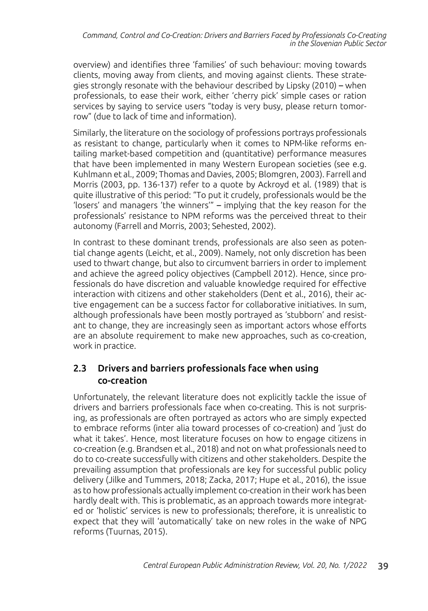overview) and identifies three 'families' of such behaviour: moving towards clients, moving away from clients, and moving against clients. These strategies strongly resonate with the behaviour described by Lipsky (2010) – when professionals, to ease their work, either 'cherry pick' simple cases or ration services by saying to service users "today is very busy, please return tomorrow" (due to lack of time and information).

Similarly, the literature on the sociology of professions portrays professionals as resistant to change, particularly when it comes to NPM-like reforms entailing market-based competition and (quantitative) performance measures that have been implemented in many Western European societies (see e.g. Kuhlmann et al., 2009; Thomas and Davies, 2005; Blomgren, 2003). Farrell and Morris (2003, pp. 136-137) refer to a quote by Ackroyd et al. (1989) that is quite illustrative of this period: "To put it crudely, professionals would be the 'losers' and managers 'the winners'" – implying that the key reason for the professionals' resistance to NPM reforms was the perceived threat to their autonomy (Farrell and Morris, 2003; Sehested, 2002).

In contrast to these dominant trends, professionals are also seen as potential change agents (Leicht, et al., 2009). Namely, not only discretion has been used to thwart change, but also to circumvent barriers in order to implement and achieve the agreed policy objectives (Campbell 2012). Hence, since professionals do have discretion and valuable knowledge required for effective interaction with citizens and other stakeholders (Dent et al., 2016), their active engagement can be a success factor for collaborative initiatives. In sum, although professionals have been mostly portrayed as 'stubborn' and resistant to change, they are increasingly seen as important actors whose efforts are an absolute requirement to make new approaches, such as co-creation, work in practice.

### 2.3 Drivers and barriers professionals face when using co-creation

Unfortunately, the relevant literature does not explicitly tackle the issue of drivers and barriers professionals face when co-creating. This is not surprising, as professionals are often portrayed as actors who are simply expected to embrace reforms (inter alia toward processes of co-creation) and 'just do what it takes'. Hence, most literature focuses on how to engage citizens in co-creation (e.g. Brandsen et al., 2018) and not on what professionals need to do to co-create successfully with citizens and other stakeholders. Despite the prevailing assumption that professionals are key for successful public policy delivery (Jilke and Tummers, 2018; Zacka, 2017; Hupe et al., 2016), the issue as to how professionals actually implement co-creation in their work has been hardly dealt with. This is problematic, as an approach towards more integrated or 'holistic' services is new to professionals; therefore, it is unrealistic to expect that they will 'automatically' take on new roles in the wake of NPG reforms (Tuurnas, 2015).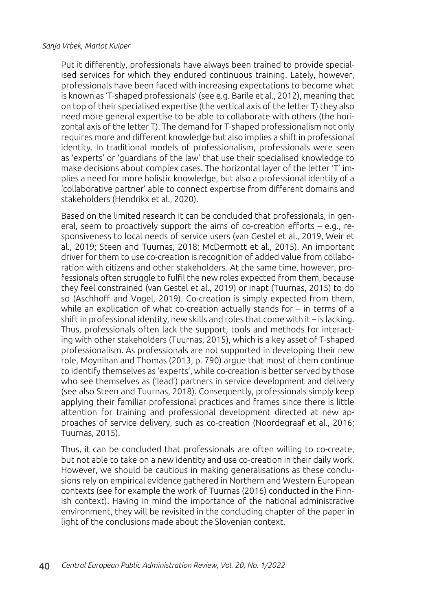Put it differently, professionals have always been trained to provide specialised services for which they endured continuous training. Lately, however, professionals have been faced with increasing expectations to become what is known as 'T-shaped professionals' (see e.g. Barile et al., 2012), meaning that on top of their specialised expertise (the vertical axis of the letter T) they also need more general expertise to be able to collaborate with others (the horizontal axis of the letter T). The demand for T-shaped professionalism not only requires more and different knowledge but also implies a shift in professional identity. In traditional models of professionalism, professionals were seen as 'experts' or 'guardians of the law' that use their specialised knowledge to make decisions about complex cases. The horizontal layer of the letter 'T' implies a need for more holistic knowledge, but also a professional identity of a 'collaborative partner' able to connect expertise from different domains and stakeholders (Hendrikx et al., 2020).

Based on the limited research it can be concluded that professionals, in general, seem to proactively support the aims of co-creation efforts – e.g., responsiveness to local needs of service users (van Gestel et al., 2019, Weir et al., 2019; Steen and Tuurnas, 2018; McDermott et al., 2015). An important driver for them to use co-creation is recognition of added value from collaboration with citizens and other stakeholders. At the same time, however, professionals often struggle to fulfil the new roles expected from them, because they feel constrained (van Gestel et al., 2019) or inapt (Tuurnas, 2015) to do so (Aschhoff and Vogel, 2019). Co-creation is simply expected from them, while an explication of what co-creation actually stands for – in terms of a shift in professional identity, new skills and roles that come with it – is lacking. Thus, professionals often lack the support, tools and methods for interacting with other stakeholders (Tuurnas, 2015), which is a key asset of T-shaped professionalism. As professionals are not supported in developing their new role, Moynihan and Thomas (2013, p. 790) argue that most of them continue to identify themselves as 'experts', while co-creation is better served by those who see themselves as ('lead') partners in service development and delivery (see also Steen and Tuurnas, 2018). Consequently, professionals simply keep applying their familiar professional practices and frames since there is little attention for training and professional development directed at new approaches of service delivery, such as co-creation (Noordegraaf et al., 2016; Tuurnas, 2015).

Thus, it can be concluded that professionals are often willing to co-create, but not able to take on a new identity and use co-creation in their daily work. However, we should be cautious in making generalisations as these conclusions rely on empirical evidence gathered in Northern and Western European contexts (see for example the work of Tuurnas (2016) conducted in the Finnish context). Having in mind the importance of the national administrative environment, they will be revisited in the concluding chapter of the paper in light of the conclusions made about the Slovenian context.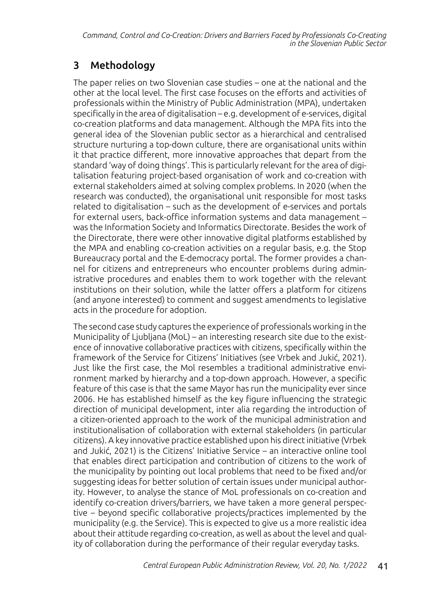# 3 Methodology

The paper relies on two Slovenian case studies – one at the national and the other at the local level. The first case focuses on the efforts and activities of professionals within the Ministry of Public Administration (MPA), undertaken specifically in the area of digitalisation – e.g. development of e-services, digital co-creation platforms and data management. Although the MPA fits into the general idea of the Slovenian public sector as a hierarchical and centralised structure nurturing a top-down culture, there are organisational units within it that practice different, more innovative approaches that depart from the standard 'way of doing things'. This is particularly relevant for the area of digitalisation featuring project-based organisation of work and co-creation with external stakeholders aimed at solving complex problems. In 2020 (when the research was conducted), the organisational unit responsible for most tasks related to digitalisation – such as the development of e-services and portals for external users, back-office information systems and data management – was the Information Society and Informatics Directorate. Besides the work of the Directorate, there were other innovative digital platforms established by the MPA and enabling co-creation activities on a regular basis, e.g. the Stop Bureaucracy portal and the E-democracy portal. The former provides a channel for citizens and entrepreneurs who encounter problems during administrative procedures and enables them to work together with the relevant institutions on their solution, while the latter offers a platform for citizens (and anyone interested) to comment and suggest amendments to legislative acts in the procedure for adoption.

The second case study captures the experience of professionals working in the Municipality of Ljubljana (MoL) – an interesting research site due to the existence of innovative collaborative practices with citizens, specifically within the framework of the Service for Citizens' Initiatives (see Vrbek and Jukić, 2021). Just like the first case, the Mol resembles a traditional administrative environment marked by hierarchy and a top-down approach. However, a specific feature of this case is that the same Mayor has run the municipality ever since 2006. He has established himself as the key figure influencing the strategic direction of municipal development, inter alia regarding the introduction of a citizen-oriented approach to the work of the municipal administration and institutionalisation of collaboration with external stakeholders (in particular citizens). A key innovative practice established upon his direct initiative (Vrbek and Jukić, 2021) is the Citizens' Initiative Service – an interactive online tool that enables direct participation and contribution of citizens to the work of the municipality by pointing out local problems that need to be fixed and/or suggesting ideas for better solution of certain issues under municipal authority. However, to analyse the stance of MoL professionals on co-creation and identify co-creation drivers/barriers, we have taken a more general perspective – beyond specific collaborative projects/practices implemented by the municipality (e.g. the Service). This is expected to give us a more realistic idea about their attitude regarding co-creation, as well as about the level and quality of collaboration during the performance of their regular everyday tasks.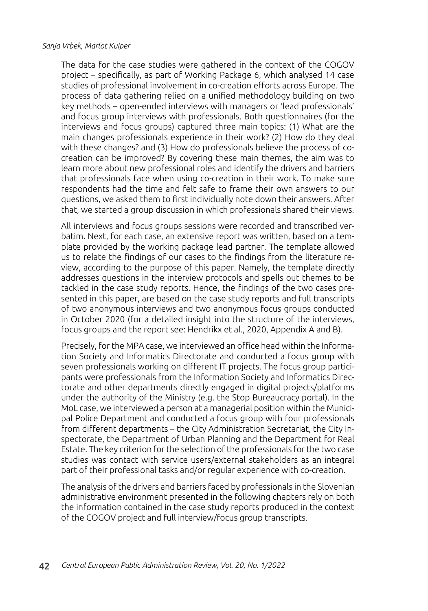The data for the case studies were gathered in the context of the COGOV project – specifically, as part of Working Package 6, which analysed 14 case studies of professional involvement in co-creation efforts across Europe. The process of data gathering relied on a unified methodology building on two key methods – open-ended interviews with managers or 'lead professionals' and focus group interviews with professionals. Both questionnaires (for the interviews and focus groups) captured three main topics: (1) What are the main changes professionals experience in their work? (2) How do they deal with these changes? and (3) How do professionals believe the process of cocreation can be improved? By covering these main themes, the aim was to learn more about new professional roles and identify the drivers and barriers that professionals face when using co-creation in their work. To make sure respondents had the time and felt safe to frame their own answers to our questions, we asked them to first individually note down their answers. After that, we started a group discussion in which professionals shared their views.

All interviews and focus groups sessions were recorded and transcribed verbatim. Next, for each case, an extensive report was written, based on a template provided by the working package lead partner. The template allowed us to relate the findings of our cases to the findings from the literature review, according to the purpose of this paper. Namely, the template directly addresses questions in the interview protocols and spells out themes to be tackled in the case study reports. Hence, the findings of the two cases presented in this paper, are based on the case study reports and full transcripts of two anonymous interviews and two anonymous focus groups conducted in October 2020 (for a detailed insight into the structure of the interviews, focus groups and the report see: Hendrikx et al., 2020, Appendix A and B).

Precisely, for the MPA case, we interviewed an office head within the Information Society and Informatics Directorate and conducted a focus group with seven professionals working on different IT projects. The focus group participants were professionals from the Information Society and Informatics Directorate and other departments directly engaged in digital projects/platforms under the authority of the Ministry (e.g. the Stop Bureaucracy portal). In the MoL case, we interviewed a person at a managerial position within the Municipal Police Department and conducted a focus group with four professionals from different departments – the City Administration Secretariat, the City Inspectorate, the Department of Urban Planning and the Department for Real Estate. The key criterion for the selection of the professionals for the two case studies was contact with service users/external stakeholders as an integral part of their professional tasks and/or regular experience with co-creation.

The analysis of the drivers and barriers faced by professionals in the Slovenian administrative environment presented in the following chapters rely on both the information contained in the case study reports produced in the context of the COGOV project and full interview/focus group transcripts.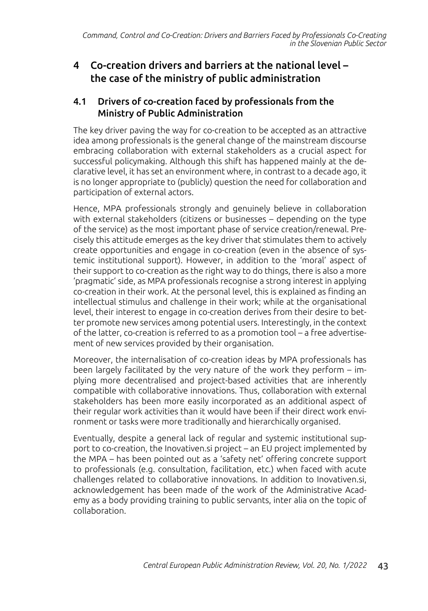# 4 Co-creation drivers and barriers at the national level – the case of the ministry of public administration

### 4.1 Drivers of co-creation faced by professionals from the Ministry of Public Administration

The key driver paving the way for co-creation to be accepted as an attractive idea among professionals is the general change of the mainstream discourse embracing collaboration with external stakeholders as a crucial aspect for successful policymaking. Although this shift has happened mainly at the declarative level, it has set an environment where, in contrast to a decade ago, it is no longer appropriate to (publicly) question the need for collaboration and participation of external actors.

Hence, MPA professionals strongly and genuinely believe in collaboration with external stakeholders (citizens or businesses – depending on the type of the service) as the most important phase of service creation/renewal. Precisely this attitude emerges as the key driver that stimulates them to actively create opportunities and engage in co-creation (even in the absence of systemic institutional support). However, in addition to the 'moral' aspect of their support to co-creation as the right way to do things, there is also a more 'pragmatic' side, as MPA professionals recognise a strong interest in applying co-creation in their work. At the personal level, this is explained as finding an intellectual stimulus and challenge in their work; while at the organisational level, their interest to engage in co-creation derives from their desire to better promote new services among potential users. Interestingly, in the context of the latter, co-creation is referred to as a promotion tool – a free advertisement of new services provided by their organisation.

Moreover, the internalisation of co-creation ideas by MPA professionals has been largely facilitated by the very nature of the work they perform – implying more decentralised and project-based activities that are inherently compatible with collaborative innovations. Thus, collaboration with external stakeholders has been more easily incorporated as an additional aspect of their regular work activities than it would have been if their direct work environment or tasks were more traditionally and hierarchically organised.

Eventually, despite a general lack of regular and systemic institutional support to co-creation, the Inovativen.si project – an EU project implemented by the MPA – has been pointed out as a 'safety net' offering concrete support to professionals (e.g. consultation, facilitation, etc.) when faced with acute challenges related to collaborative innovations. In addition to Inovativen.si, acknowledgement has been made of the work of the Administrative Academy as a body providing training to public servants, inter alia on the topic of collaboration.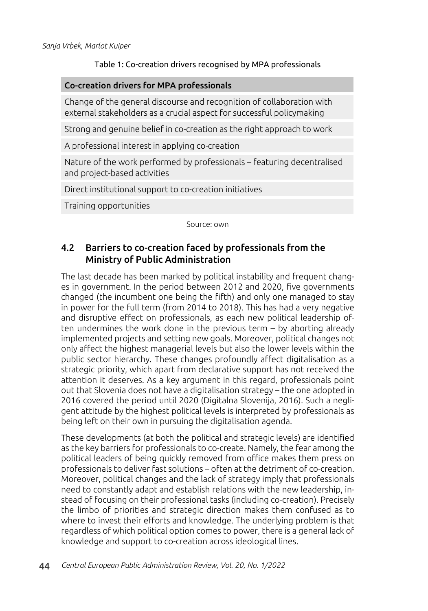### Table 1: Co-creation drivers recognised by MPA professionals

#### Co-creation drivers for MPA professionals

Change of the general discourse and recognition of collaboration with external stakeholders as a crucial aspect for successful policymaking

Strong and genuine belief in co-creation as the right approach to work

A professional interest in applying co-creation

Nature of the work performed by professionals – featuring decentralised and project-based activities

Direct institutional support to co-creation initiatives

Training opportunities

Source: own

### 4.2 Barriers to co-creation faced by professionals from the Ministry of Public Administration

The last decade has been marked by political instability and frequent changes in government. In the period between 2012 and 2020, five governments changed (the incumbent one being the fifth) and only one managed to stay in power for the full term (from 2014 to 2018). This has had a very negative and disruptive effect on professionals, as each new political leadership often undermines the work done in the previous term – by aborting already implemented projects and setting new goals. Moreover, political changes not only affect the highest managerial levels but also the lower levels within the public sector hierarchy. These changes profoundly affect digitalisation as a strategic priority, which apart from declarative support has not received the attention it deserves. As a key argument in this regard, professionals point out that Slovenia does not have a digitalisation strategy – the one adopted in 2016 covered the period until 2020 (Digitalna Slovenija, 2016). Such a negligent attitude by the highest political levels is interpreted by professionals as being left on their own in pursuing the digitalisation agenda.

These developments (at both the political and strategic levels) are identified as the key barriers for professionals to co-create. Namely, the fear among the political leaders of being quickly removed from office makes them press on professionals to deliver fast solutions – often at the detriment of co-creation. Moreover, political changes and the lack of strategy imply that professionals need to constantly adapt and establish relations with the new leadership, instead of focusing on their professional tasks (including co-creation). Precisely the limbo of priorities and strategic direction makes them confused as to where to invest their efforts and knowledge. The underlying problem is that regardless of which political option comes to power, there is a general lack of knowledge and support to co-creation across ideological lines.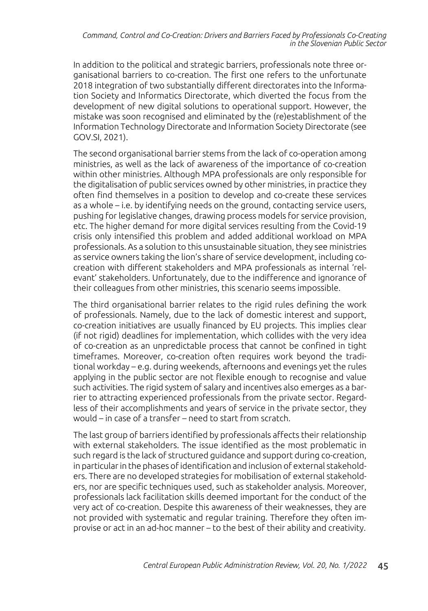In addition to the political and strategic barriers, professionals note three organisational barriers to co-creation. The first one refers to the unfortunate 2018 integration of two substantially different directorates into the Information Society and Informatics Directorate, which diverted the focus from the development of new digital solutions to operational support. However, the mistake was soon recognised and eliminated by the (re)establishment of the Information Technology Directorate and Information Society Directorate (see GOV.SI, 2021).

The second organisational barrier stems from the lack of co-operation among ministries, as well as the lack of awareness of the importance of co-creation within other ministries. Although MPA professionals are only responsible for the digitalisation of public services owned by other ministries, in practice they often find themselves in a position to develop and co-create these services as a whole – i.e. by identifying needs on the ground, contacting service users, pushing for legislative changes, drawing process models for service provision, etc. The higher demand for more digital services resulting from the Covid-19 crisis only intensified this problem and added additional workload on MPA professionals. As a solution to this unsustainable situation, they see ministries as service owners taking the lion's share of service development, including cocreation with different stakeholders and MPA professionals as internal 'relevant' stakeholders. Unfortunately, due to the indifference and ignorance of their colleagues from other ministries, this scenario seems impossible.

The third organisational barrier relates to the rigid rules defining the work of professionals. Namely, due to the lack of domestic interest and support, co-creation initiatives are usually financed by EU projects. This implies clear (if not rigid) deadlines for implementation, which collides with the very idea of co-creation as an unpredictable process that cannot be confined in tight timeframes. Moreover, co-creation often requires work beyond the traditional workday – e.g. during weekends, afternoons and evenings yet the rules applying in the public sector are not flexible enough to recognise and value such activities. The rigid system of salary and incentives also emerges as a barrier to attracting experienced professionals from the private sector. Regardless of their accomplishments and years of service in the private sector, they would – in case of a transfer – need to start from scratch.

The last group of barriers identified by professionals affects their relationship with external stakeholders. The issue identified as the most problematic in such regard is the lack of structured guidance and support during co-creation, in particular in the phases of identification and inclusion of external stakeholders. There are no developed strategies for mobilisation of external stakeholders, nor are specific techniques used, such as stakeholder analysis. Moreover, professionals lack facilitation skills deemed important for the conduct of the very act of co-creation. Despite this awareness of their weaknesses, they are not provided with systematic and regular training. Therefore they often improvise or act in an ad-hoc manner – to the best of their ability and creativity.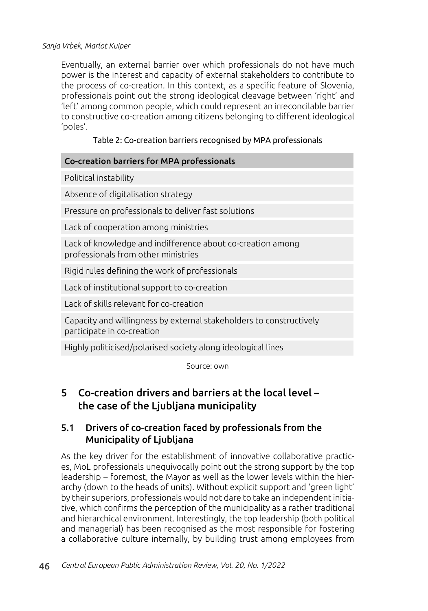Eventually, an external barrier over which professionals do not have much power is the interest and capacity of external stakeholders to contribute to the process of co-creation. In this context, as a specific feature of Slovenia, professionals point out the strong ideological cleavage between 'right' and 'left' among common people, which could represent an irreconcilable barrier to constructive co-creation among citizens belonging to different ideological 'poles'.

### Table 2: Co-creation barriers recognised by MPA professionals

| Co-creation barriers for MPA professionals                                                        |
|---------------------------------------------------------------------------------------------------|
| Political instability                                                                             |
| Absence of digitalisation strategy                                                                |
| Pressure on professionals to deliver fast solutions                                               |
| Lack of cooperation among ministries                                                              |
| Lack of knowledge and indifference about co-creation among<br>professionals from other ministries |
| Rigid rules defining the work of professionals                                                    |
| Lack of institutional support to co-creation                                                      |
| Lack of skills relevant for co-creation                                                           |
| Capacity and willingness by external stakeholders to constructively<br>participate in co-creation |
| Highly politicised/polarised society along ideological lines                                      |

Source: own

# 5 Co-creation drivers and barriers at the local level – the case of the Ljubljana municipality

### 5.1 Drivers of co-creation faced by professionals from the Municipality of Ljubljana

As the key driver for the establishment of innovative collaborative practices, MoL professionals unequivocally point out the strong support by the top leadership – foremost, the Mayor as well as the lower levels within the hierarchy (down to the heads of units). Without explicit support and 'green light' by their superiors, professionals would not dare to take an independent initiative, which confirms the perception of the municipality as a rather traditional and hierarchical environment. Interestingly, the top leadership (both political and managerial) has been recognised as the most responsible for fostering a collaborative culture internally, by building trust among employees from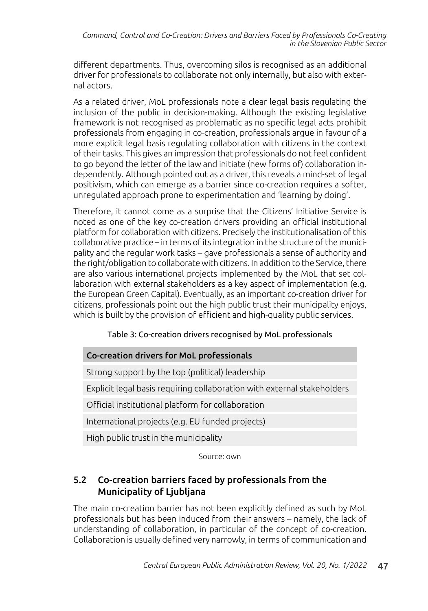different departments. Thus, overcoming silos is recognised as an additional driver for professionals to collaborate not only internally, but also with external actors.

As a related driver, MoL professionals note a clear legal basis regulating the inclusion of the public in decision-making. Although the existing legislative framework is not recognised as problematic as no specific legal acts prohibit professionals from engaging in co-creation, professionals argue in favour of a more explicit legal basis regulating collaboration with citizens in the context of their tasks. This gives an impression that professionals do not feel confident to go beyond the letter of the law and initiate (new forms of) collaboration independently. Although pointed out as a driver, this reveals a mind-set of legal positivism, which can emerge as a barrier since co-creation requires a softer, unregulated approach prone to experimentation and 'learning by doing'.

Therefore, it cannot come as a surprise that the Citizens' Initiative Service is noted as one of the key co-creation drivers providing an official institutional platform for collaboration with citizens. Precisely the institutionalisation of this collaborative practice – in terms of its integration in the structure of the municipality and the regular work tasks – gave professionals a sense of authority and the right/obligation to collaborate with citizens. In addition to the Service, there are also various international projects implemented by the MoL that set collaboration with external stakeholders as a key aspect of implementation (e.g. the European Green Capital). Eventually, as an important co-creation driver for citizens, professionals point out the high public trust their municipality enjoys, which is built by the provision of efficient and high-quality public services.

### Table 3: Co-creation drivers recognised by MoL professionals

### Co-creation drivers for MoL professionals

Strong support by the top (political) leadership

Explicit legal basis requiring collaboration with external stakeholders

Official institutional platform for collaboration

International projects (e.g. EU funded projects)

High public trust in the municipality

Source: own

### 5.2 Co-creation barriers faced by professionals from the Municipality of Ljubljana

The main co-creation barrier has not been explicitly defined as such by MoL professionals but has been induced from their answers – namely, the lack of understanding of collaboration, in particular of the concept of co-creation. Collaboration is usually defined very narrowly, in terms of communication and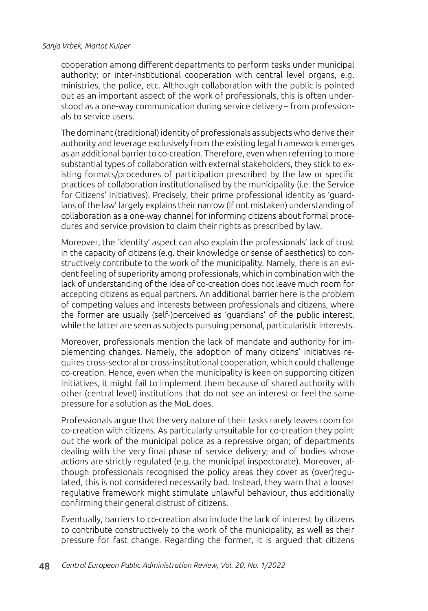cooperation among different departments to perform tasks under municipal authority; or inter-institutional cooperation with central level organs, e.g. ministries, the police, etc. Although collaboration with the public is pointed out as an important aspect of the work of professionals, this is often understood as a one-way communication during service delivery – from professionals to service users.

The dominant (traditional) identity of professionals as subjects who derive their authority and leverage exclusively from the existing legal framework emerges as an additional barrier to co-creation. Therefore, even when referring to more substantial types of collaboration with external stakeholders, they stick to existing formats/procedures of participation prescribed by the law or specific practices of collaboration institutionalised by the municipality (i.e. the Service for Citizens' Initiatives). Precisely, their prime professional identity as 'guardians of the law' largely explains their narrow (if not mistaken) understanding of collaboration as a one-way channel for informing citizens about formal procedures and service provision to claim their rights as prescribed by law.

Moreover, the 'identity' aspect can also explain the professionals' lack of trust in the capacity of citizens (e.g. their knowledge or sense of aesthetics) to constructively contribute to the work of the municipality. Namely, there is an evident feeling of superiority among professionals, which in combination with the lack of understanding of the idea of co-creation does not leave much room for accepting citizens as equal partners. An additional barrier here is the problem of competing values and interests between professionals and citizens, where the former are usually (self-)perceived as 'guardians' of the public interest, while the latter are seen as subjects pursuing personal, particularistic interests.

Moreover, professionals mention the lack of mandate and authority for implementing changes. Namely, the adoption of many citizens' initiatives requires cross-sectoral or cross-institutional cooperation, which could challenge co-creation. Hence, even when the municipality is keen on supporting citizen initiatives, it might fail to implement them because of shared authority with other (central level) institutions that do not see an interest or feel the same pressure for a solution as the MoL does.

Professionals argue that the very nature of their tasks rarely leaves room for co-creation with citizens. As particularly unsuitable for co-creation they point out the work of the municipal police as a repressive organ; of departments dealing with the very final phase of service delivery; and of bodies whose actions are strictly regulated (e.g. the municipal inspectorate). Moreover, although professionals recognised the policy areas they cover as (over)regulated, this is not considered necessarily bad. Instead, they warn that a looser regulative framework might stimulate unlawful behaviour, thus additionally confirming their general distrust of citizens.

Eventually, barriers to co-creation also include the lack of interest by citizens to contribute constructively to the work of the municipality, as well as their pressure for fast change. Regarding the former, it is argued that citizens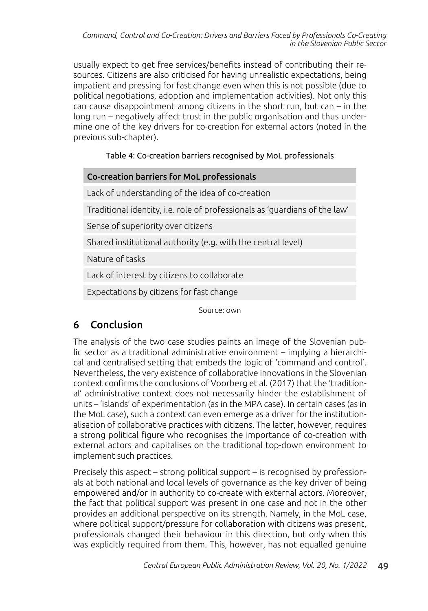usually expect to get free services/benefits instead of contributing their resources. Citizens are also criticised for having unrealistic expectations, being impatient and pressing for fast change even when this is not possible (due to political negotiations, adoption and implementation activities). Not only this can cause disappointment among citizens in the short run, but can – in the long run – negatively affect trust in the public organisation and thus undermine one of the key drivers for co-creation for external actors (noted in the previous sub-chapter).

#### Table 4: Co-creation barriers recognised by MoL professionals

#### Co-creation barriers for MoL professionals

Lack of understanding of the idea of co-creation

Traditional identity, i.e. role of professionals as 'guardians of the law'

Sense of superiority over citizens

Shared institutional authority (e.g. with the central level)

Nature of tasks

Lack of interest by citizens to collaborate

Expectations by citizens for fast change

Source: own

# 6 Conclusion

The analysis of the two case studies paints an image of the Slovenian public sector as a traditional administrative environment – implying a hierarchical and centralised setting that embeds the logic of 'command and control'. Nevertheless, the very existence of collaborative innovations in the Slovenian context confirms the conclusions of Voorberg et al. (2017) that the 'traditional' administrative context does not necessarily hinder the establishment of units – 'islands' of experimentation (as in the MPA case). In certain cases (as in the MoL case), such a context can even emerge as a driver for the institutionalisation of collaborative practices with citizens. The latter, however, requires a strong political figure who recognises the importance of co-creation with external actors and capitalises on the traditional top-down environment to implement such practices.

Precisely this aspect – strong political support – is recognised by professionals at both national and local levels of governance as the key driver of being empowered and/or in authority to co-create with external actors. Moreover, the fact that political support was present in one case and not in the other provides an additional perspective on its strength. Namely, in the MoL case, where political support/pressure for collaboration with citizens was present, professionals changed their behaviour in this direction, but only when this was explicitly required from them. This, however, has not equalled genuine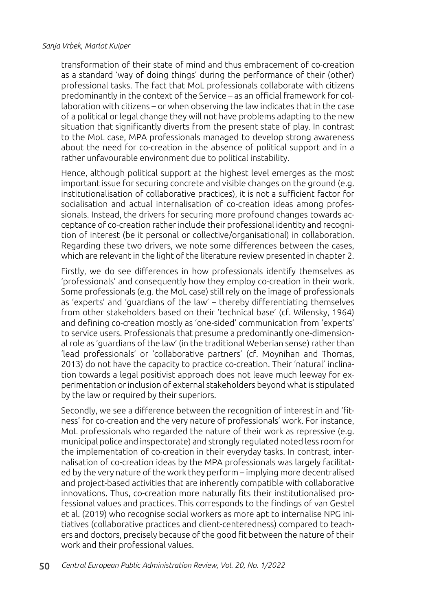transformation of their state of mind and thus embracement of co-creation as a standard 'way of doing things' during the performance of their (other) professional tasks. The fact that MoL professionals collaborate with citizens predominantly in the context of the Service – as an official framework for collaboration with citizens – or when observing the law indicates that in the case of a political or legal change they will not have problems adapting to the new situation that significantly diverts from the present state of play. In contrast to the MoL case, MPA professionals managed to develop strong awareness about the need for co-creation in the absence of political support and in a rather unfavourable environment due to political instability.

Hence, although political support at the highest level emerges as the most important issue for securing concrete and visible changes on the ground (e.g. institutionalisation of collaborative practices), it is not a sufficient factor for socialisation and actual internalisation of co-creation ideas among professionals. Instead, the drivers for securing more profound changes towards acceptance of co-creation rather include their professional identity and recognition of interest (be it personal or collective/organisational) in collaboration. Regarding these two drivers, we note some differences between the cases, which are relevant in the light of the literature review presented in chapter 2.

Firstly, we do see differences in how professionals identify themselves as 'professionals' and consequently how they employ co-creation in their work. Some professionals (e.g. the MoL case) still rely on the image of professionals as 'experts' and 'guardians of the law' – thereby differentiating themselves from other stakeholders based on their 'technical base' (cf. Wilensky, 1964) and defining co-creation mostly as 'one-sided' communication from 'experts' to service users. Professionals that presume a predominantly one-dimensional role as 'guardians of the law' (in the traditional Weberian sense) rather than 'lead professionals' or 'collaborative partners' (cf. Moynihan and Thomas, 2013) do not have the capacity to practice co-creation. Their 'natural' inclination towards a legal positivist approach does not leave much leeway for experimentation or inclusion of external stakeholders beyond what is stipulated by the law or required by their superiors.

Secondly, we see a difference between the recognition of interest in and 'fitness' for co-creation and the very nature of professionals' work. For instance, MoL professionals who regarded the nature of their work as repressive (e.g. municipal police and inspectorate) and strongly regulated noted less room for the implementation of co-creation in their everyday tasks. In contrast, internalisation of co-creation ideas by the MPA professionals was largely facilitated by the very nature of the work they perform – implying more decentralised and project-based activities that are inherently compatible with collaborative innovations. Thus, co-creation more naturally fits their institutionalised professional values and practices. This corresponds to the findings of van Gestel et al. (2019) who recognise social workers as more apt to internalise NPG initiatives (collaborative practices and client-centeredness) compared to teachers and doctors, precisely because of the good fit between the nature of their work and their professional values.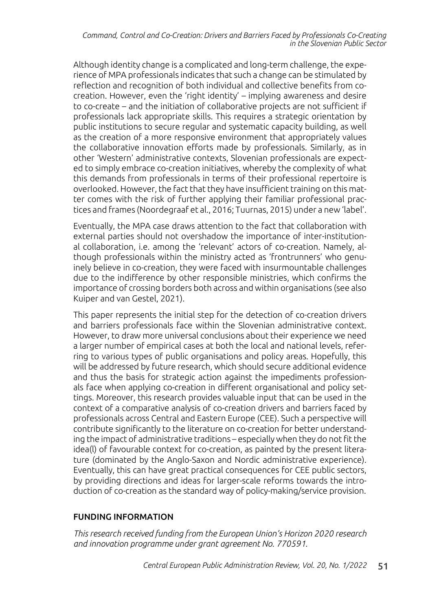#### *Command, Control and Co-Creation: Drivers and Barriers Faced by Professionals Co-Creating in the Slovenian Public Sector*

Although identity change is a complicated and long-term challenge, the experience of MPA professionals indicates that such a change can be stimulated by reflection and recognition of both individual and collective benefits from cocreation. However, even the 'right identity' – implying awareness and desire to co-create – and the initiation of collaborative projects are not sufficient if professionals lack appropriate skills. This requires a strategic orientation by public institutions to secure regular and systematic capacity building, as well as the creation of a more responsive environment that appropriately values the collaborative innovation efforts made by professionals. Similarly, as in other 'Western' administrative contexts, Slovenian professionals are expected to simply embrace co-creation initiatives, whereby the complexity of what this demands from professionals in terms of their professional repertoire is overlooked. However, the fact that they have insufficient training on this matter comes with the risk of further applying their familiar professional practices and frames (Noordegraaf et al., 2016; Tuurnas, 2015) under a new 'label'.

Eventually, the MPA case draws attention to the fact that collaboration with external parties should not overshadow the importance of inter-institutional collaboration, i.e. among the 'relevant' actors of co-creation. Namely, although professionals within the ministry acted as 'frontrunners' who genuinely believe in co-creation, they were faced with insurmountable challenges due to the indifference by other responsible ministries, which confirms the importance of crossing borders both across and within organisations (see also Kuiper and van Gestel, 2021).

This paper represents the initial step for the detection of co-creation drivers and barriers professionals face within the Slovenian administrative context. However, to draw more universal conclusions about their experience we need a larger number of empirical cases at both the local and national levels, referring to various types of public organisations and policy areas. Hopefully, this will be addressed by future research, which should secure additional evidence and thus the basis for strategic action against the impediments professionals face when applying co-creation in different organisational and policy settings. Moreover, this research provides valuable input that can be used in the context of a comparative analysis of co-creation drivers and barriers faced by professionals across Central and Eastern Europe (CEE). Such a perspective will contribute significantly to the literature on co-creation for better understanding the impact of administrative traditions – especially when they do not fit the idea(l) of favourable context for co-creation, as painted by the present literature (dominated by the Anglo-Saxon and Nordic administrative experience). Eventually, this can have great practical consequences for CEE public sectors, by providing directions and ideas for larger-scale reforms towards the introduction of co-creation as the standard way of policy-making/service provision.

#### FUNDING INFORMATION

*This research received funding from the European Union's Horizon 2020 research and innovation programme under grant agreement No. 770591.*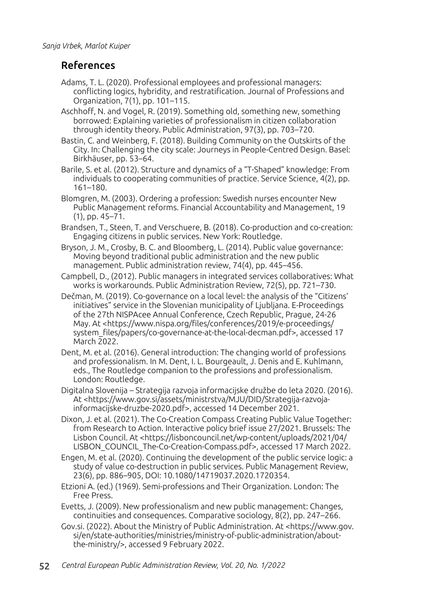# References

- Adams, T. L. (2020). Professional employees and professional managers: conflicting logics, hybridity, and restratification. Journal of Professions and Organization, 7(1), pp. 101–115.
- Aschhoff, N. and Vogel, R. (2019). Something old, something new, something borrowed: Explaining varieties of professionalism in citizen collaboration through identity theory. Public Administration, 97(3), pp. 703–720.
- Bastin, C. and Weinberg, F. (2018). Building Community on the Outskirts of the City. In: Challenging the city scale: Journeys in People-Centred Design. Basel: Birkhäuser, pp. 53–64.
- Barile, S. et al. (2012). Structure and dynamics of a "T-Shaped" knowledge: From individuals to cooperating communities of practice. Service Science, 4(2), pp. 161–180.
- Blomgren, M. (2003). Ordering a profession: Swedish nurses encounter New Public Management reforms. Financial Accountability and Management, 19 (1), pp. 45–71.
- Brandsen, T., Steen, T. and Verschuere, B. (2018). Co-production and co-creation: Engaging citizens in public services. New York: Routledge.
- Bryson, J. M., Crosby, B. C. and Bloomberg, L. (2014). Public value governance: Moving beyond traditional public administration and the new public management. Public administration review, 74(4), pp. 445–456.
- Campbell, D., (2012). Public managers in integrated services collaboratives: What works is workarounds. Public Administration Review, 72(5), pp. 721–730.
- Dečman, M. (2019). Co-governance on a local level: the analysis of the "Citizens' initiatives" service in the Slovenian municipality of Ljubljana. E-Proceedings of the 27th NISPAcee Annual Conference, Czech Republic, Prague, 24-26 May. At <https://www.nispa.org/files/conferences/2019/e-proceedings/ system\_files/papers/co-governance-at-the-local-decman.pdf>, accessed 17 March 2022.
- Dent, M. et al. (2016). General introduction: The changing world of professions and professionalism. In M. Dent, I. L. Bourgeault, J. Denis and E. Kuhlmann, eds., The Routledge companion to the professions and professionalism. London: Routledge.
- Digitalna Slovenija Strategija razvoja informacijske družbe do leta 2020. (2016). At <https://www.gov.si/assets/ministrstva/MJU/DID/Strategija-razvojainformacijske-druzbe-2020.pdf>, accessed 14 December 2021.
- Dixon, J. et al. (2021). The Co-Creation Compass Creating Public Value Together: from Research to Action. Interactive policy brief issue 27/2021. Brussels: The Lisbon Council. At <https://lisboncouncil.net/wp-content/uploads/2021/04/ LISBON\_COUNCIL\_The-Co-Creation-Compass.pdf>, accessed 17 March 2022.
- Engen, M. et al. (2020). Continuing the development of the public service logic: a study of value co-destruction in public services. Public Management Review, 23(6), pp. 886–905, DOI: 10.1080/14719037.2020.1720354.
- Etzioni A. (ed.) (1969). Semi-professions and Their Organization. London: The Free Press.
- Evetts, J. (2009). New professionalism and new public management: Changes, continuities and consequences. Comparative sociology, 8(2), pp. 247–266.
- Gov.si. (2022). About the Ministry of Public Administration. At <https://www.gov. si/en/state-authorities/ministries/ministry-of-public-administration/aboutthe-ministry/>, accessed 9 February 2022.
- 52 *Central European Public Administration Review, Vol. 20, No. 1/2022*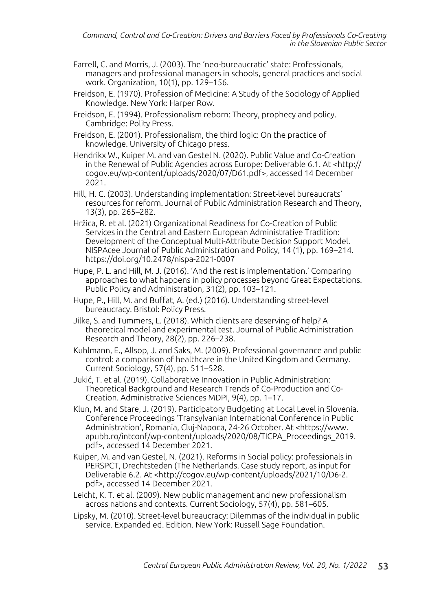- Farrell, C. and Morris, J. (2003). The 'neo-bureaucratic' state: Professionals, managers and professional managers in schools, general practices and social work. Organization, 10(1), pp. 129–156.
- Freidson, E. (1970). Profession of Medicine: A Study of the Sociology of Applied Knowledge. New York: Harper Row.
- Freidson, E. (1994). Professionalism reborn: Theory, prophecy and policy. Cambridge: Polity Press.
- Freidson, E. (2001). Professionalism, the third logic: On the practice of knowledge. University of Chicago press.
- Hendrikx W., Kuiper M. and van Gestel N. (2020). Public Value and Co-Creation in the Renewal of Public Agencies across Europe: Deliverable 6.1. At <http:// cogov.eu/wp-content/uploads/2020/07/D61.pdf>, accessed 14 December 2021.
- Hill, H. C. (2003). Understanding implementation: Street-level bureaucrats' resources for reform. Journal of Public Administration Research and Theory, 13(3), pp. 265–282.
- Hržica, R. et al. (2021) Organizational Readiness for Co-Creation of Public Services in the Central and Eastern European Administrative Tradition: Development of the Conceptual Multi-Attribute Decision Support Model. NISPAcee Journal of Public Administration and Policy, 14 (1), pp. 169–214. https://doi.org/10.2478/nispa-2021-0007
- Hupe, P. L. and Hill, M. J. (2016). 'And the rest is implementation.' Comparing approaches to what happens in policy processes beyond Great Expectations. Public Policy and Administration, 31(2), pp. 103–121.
- Hupe, P., Hill, M. and Buffat, A. (ed.) (2016). Understanding street-level bureaucracy. Bristol: Policy Press.
- Jilke, S. and Tummers, L. (2018). Which clients are deserving of help? A theoretical model and experimental test. Journal of Public Administration Research and Theory, 28(2), pp. 226–238.
- Kuhlmann, E., Allsop, J. and Saks, M. (2009). Professional governance and public control: a comparison of healthcare in the United Kingdom and Germany. Current Sociology, 57(4), pp. 511–528.
- Jukić, T. et al. (2019). Collaborative Innovation in Public Administration: Theoretical Background and Research Trends of Co-Production and Co-Creation. Administrative Sciences MDPI, 9(4), pp. 1–17.
- Klun, M. and Stare, J. (2019). Participatory Budgeting at Local Level in Slovenia. Conference Proceedings 'Transylvanian International Conference in Public Administration', Romania, Cluj-Napoca, 24-26 October. At <https://www. apubb.ro/intconf/wp-content/uploads/2020/08/TICPA\_Proceedings\_2019. pdf>, accessed 14 December 2021.
- Kuiper, M. and van Gestel, N. (2021). Reforms in Social policy: professionals in PERSPCT, Drechtsteden (The Netherlands. Case study report, as input for Deliverable 6.2. At <http://cogov.eu/wp-content/uploads/2021/10/D6-2. pdf>, accessed 14 December 2021.
- Leicht, K. T. et al. (2009). New public management and new professionalism across nations and contexts. Current Sociology, 57(4), pp. 581–605.
- Lipsky, M. (2010). Street-level bureaucracy: Dilemmas of the individual in public service. Expanded ed. Edition. New York: Russell Sage Foundation.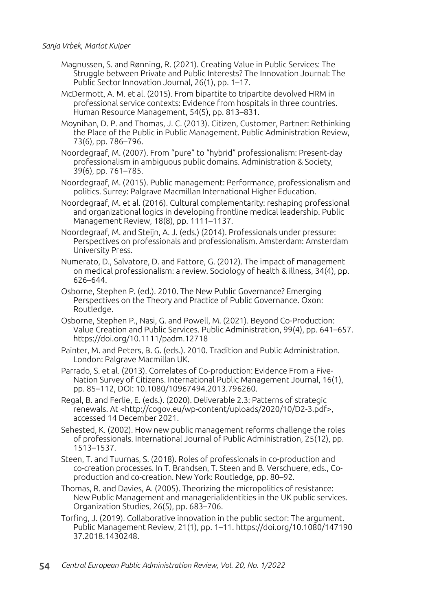- Magnussen, S. and Rønning, R. (2021). Creating Value in Public Services: The Struggle between Private and Public Interests? The Innovation Journal: The Public Sector Innovation Journal, 26(1), pp. 1–17.
- McDermott, A. M. et al. (2015). From bipartite to tripartite devolved HRM in professional service contexts: Evidence from hospitals in three countries. Human Resource Management, 54(5), pp. 813–831.
- Moynihan, D. P. and Thomas, J. C. (2013). Citizen, Customer, Partner: Rethinking the Place of the Public in Public Management. Public Administration Review, 73(6), pp. 786–796.
- Noordegraaf, M. (2007). From "pure" to "hybrid" professionalism: Present-day professionalism in ambiguous public domains. Administration & Society, 39(6), pp. 761–785.
- Noordegraaf, M. (2015). Public management: Performance, professionalism and politics. Surrey: Palgrave Macmillan International Higher Education.
- Noordegraaf, M. et al. (2016). Cultural complementarity: reshaping professional and organizational logics in developing frontline medical leadership. Public Management Review, 18(8), pp. 1111–1137.
- Noordegraaf, M. and Steijn, A. J. (eds.) (2014). Professionals under pressure: Perspectives on professionals and professionalism. Amsterdam: Amsterdam University Press.
- Numerato, D., Salvatore, D. and Fattore, G. (2012). The impact of management on medical professionalism: a review. Sociology of health & illness, 34(4), pp. 626–644.
- Osborne, Stephen P. (ed.). 2010. The New Public Governance? Emerging Perspectives on the Theory and Practice of Public Governance. Oxon: Routledge.
- Osborne, Stephen P., Nasi, G. and Powell, M. (2021). Beyond Co-Production: Value Creation and Public Services. Public Administration, 99(4), pp. 641–657. https://doi.org/10.1111/padm.12718
- Painter, M. and Peters, B. G. (eds.). 2010. Tradition and Public Administration. London: Palgrave Macmillan UK.
- Parrado, S. et al. (2013). Correlates of Co-production: Evidence From a Five-Nation Survey of Citizens. International Public Management Journal, 16(1), pp. 85–112, DOI: 10.1080/10967494.2013.796260.
- Regal, B. and Ferlie, E. (eds.). (2020). Deliverable 2.3: Patterns of strategic renewals. At <http://cogov.eu/wp-content/uploads/2020/10/D2-3.pdf>, accessed 14 December 2021.
- Sehested, K. (2002). How new public management reforms challenge the roles of professionals. International Journal of Public Administration, 25(12), pp. 1513–1537.
- Steen, T. and Tuurnas, S. (2018). Roles of professionals in co-production and co-creation processes. In T. Brandsen, T. Steen and B. Verschuere, eds., Coproduction and co-creation. New York: Routledge, pp. 80–92.
- Thomas, R. and Davies, A. (2005). Theorizing the micropolitics of resistance: New Public Management and managerialidentities in the UK public services. Organization Studies, 26(5), pp. 683–706.
- Torfing, J. (2019). Collaborative innovation in the public sector: The argument. Public Management Review, 21(1), pp. 1–11. https://doi.org/10.1080/147190 37.2018.1430248.